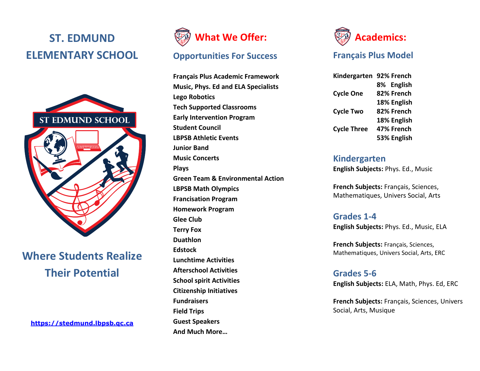# **ST. EDMUND ELEMENTARY SCHOOL**



## **Where Students Realize Their Potential**

**[https://stedmund.lbpsb.qc.ca](https://stedmund.lbpsb.qc.ca/)**



## **Opportunities For Success**

**Français Plus Academic Framework Music, Phys. Ed and ELA Specialists Lego Robotics Tech Supported Classrooms Early Intervention Program Student Council LBPSB Athletic Events Junior Band Music Concerts Plays Green Team & Environmental Action LBPSB Math Olympics Francisation Program Homework Program Glee Club Terry Fox Duathlon Edstock Lunchtime Activities Afterschool Activities School spirit Activities Citizenship Initiatives Fundraisers Field Trips Guest Speakers And Much More…**



## **Français Plus Model**

**Kindergarten 92% French 8% English Cycle One 82% French 18% English Cycle Two 82% French 18% English Cycle Three 47% French 53% English**

#### **Kindergarten**

**English Subjects:** Phys. Ed., Music

**French Subjects:** Français, Sciences, Mathematiques, Univers Social, Arts

## **Grades 1-4**

**English Subjects:** Phys. Ed., Music, ELA

**French Subjects:** Français, Sciences, Mathematiques, Univers Social, Arts, ERC

## **Grades 5-6**

**English Subjects:** ELA, Math, Phys. Ed, ERC

**French Subjects:** Français, Sciences, Univers Social, Arts, Musique